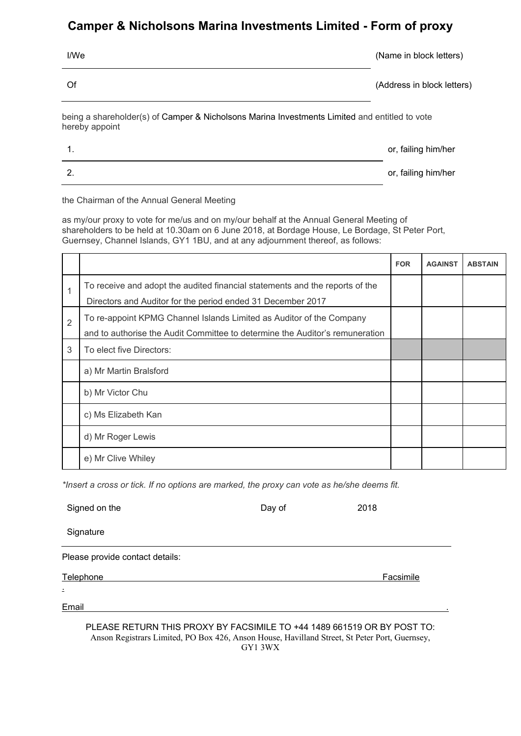## **Camper & Nicholsons Marina Investments Limited - Form of proxy**

| I/We                                                                                                            | (Name in block letters)    |  |  |  |  |
|-----------------------------------------------------------------------------------------------------------------|----------------------------|--|--|--|--|
| Of                                                                                                              | (Address in block letters) |  |  |  |  |
| being a shareholder(s) of Camper & Nicholsons Marina Investments Limited and entitled to vote<br>hereby appoint |                            |  |  |  |  |
| 1.                                                                                                              | or, failing him/her        |  |  |  |  |
| 2.                                                                                                              | or, failing him/her        |  |  |  |  |

the Chairman of the Annual General Meeting

as my/our proxy to vote for me/us and on my/our behalf at the Annual General Meeting of shareholders to be held at 10.30am on 6 June 2018, at Bordage House, Le Bordage, St Peter Port, Guernsey, Channel Islands, GY1 1BU, and at any adjournment thereof, as follows:

|   |                                                                                                                                                      | <b>FOR</b> | <b>AGAINST</b> | <b>ABSTAIN</b> |
|---|------------------------------------------------------------------------------------------------------------------------------------------------------|------------|----------------|----------------|
| 1 | To receive and adopt the audited financial statements and the reports of the<br>Directors and Auditor for the period ended 31 December 2017          |            |                |                |
| 2 | To re-appoint KPMG Channel Islands Limited as Auditor of the Company<br>and to authorise the Audit Committee to determine the Auditor's remuneration |            |                |                |
| 3 | To elect five Directors:                                                                                                                             |            |                |                |
|   | a) Mr Martin Bralsford                                                                                                                               |            |                |                |
|   | b) Mr Victor Chu                                                                                                                                     |            |                |                |
|   | c) Ms Elizabeth Kan                                                                                                                                  |            |                |                |
|   | d) Mr Roger Lewis                                                                                                                                    |            |                |                |
|   | e) Mr Clive Whiley                                                                                                                                   |            |                |                |

*\*Insert a cross or tick. If no options are marked, the proxy can vote as he/she deems fit.*

|           | Signed on the                                                           | Day of | 2018      |
|-----------|-------------------------------------------------------------------------|--------|-----------|
|           | Signature                                                               |        |           |
|           | Please provide contact details:                                         |        |           |
| Telephone |                                                                         |        | Facsimile |
|           |                                                                         |        |           |
| Email     |                                                                         |        |           |
|           | PLEASE RETURN THIS PROXY BY FACSIMILE TO +44 1489 661519 OR BY POST TO: |        |           |

Anson Registrars Limited, PO Box 426, Anson House, Havilland Street, St Peter Port, Guernsey, GY1 3WX